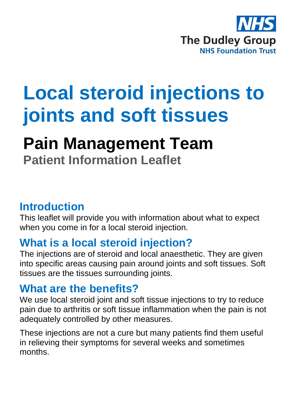

# **Local steroid injections to joints and soft tissues**

## **Pain Management Team**

**Patient Information Leaflet**

### **Introduction**

This leaflet will provide you with information about what to expect when you come in for a local steroid injection.

## **What is a local steroid injection?**

The injections are of steroid and local anaesthetic. They are given into specific areas causing pain around joints and soft tissues. Soft tissues are the tissues surrounding joints.

## **What are the benefits?**

We use local steroid joint and soft tissue injections to try to reduce pain due to arthritis or soft tissue inflammation when the pain is not adequately controlled by other measures.

These injections are not a cure but many patients find them useful in relieving their symptoms for several weeks and sometimes months.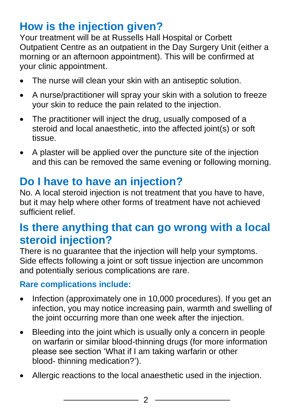## **How is the injection given?**

Your treatment will be at Russells Hall Hospital or Corbett Outpatient Centre as an outpatient in the Day Surgery Unit (either a morning or an afternoon appointment). This will be confirmed at your clinic appointment.

- The nurse will clean your skin with an antiseptic solution.
- A nurse/practitioner will spray your skin with a solution to freeze your skin to reduce the pain related to the injection.
- The practitioner will inject the drug, usually composed of a steroid and local anaesthetic, into the affected joint(s) or soft tissue.
- A plaster will be applied over the puncture site of the injection and this can be removed the same evening or following morning.

## **Do I have to have an injection?**

No. A local steroid injection is not treatment that you have to have, but it may help where other forms of treatment have not achieved sufficient relief.

## **Is there anything that can go wrong with a local steroid injection?**

There is no quarantee that the injection will help your symptoms. Side effects following a joint or soft tissue injection are uncommon and potentially serious complications are rare.

#### **Rare complications include:**

- Infection (approximately one in 10,000 procedures). If you get an infection, you may notice increasing pain, warmth and swelling of the joint occurring more than one week after the injection.
- Bleeding into the joint which is usually only a concern in people on warfarin or similar blood-thinning drugs (for more information please see section 'What if I am taking warfarin or other blood- thinning medication?').
- Allergic reactions to the local anaesthetic used in the injection.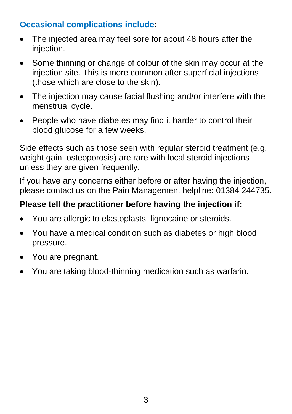#### **Occasional complications include**:

- The injected area may feel sore for about 48 hours after the injection.
- Some thinning or change of colour of the skin may occur at the injection site. This is more common after superficial injections (those which are close to the skin).
- The injection may cause facial flushing and/or interfere with the menstrual cycle.
- People who have diabetes may find it harder to control their blood glucose for a few weeks.

Side effects such as those seen with regular steroid treatment (e.g. weight gain, osteoporosis) are rare with local steroid injections unless they are given frequently.

If you have any concerns either before or after having the injection, please contact us on the Pain Management helpline: 01384 244735.

#### **Please tell the practitioner before having the injection if:**

- You are allergic to elastoplasts, lignocaine or steroids.
- You have a medical condition such as diabetes or high blood pressure.
- You are pregnant.
- You are taking blood-thinning medication such as warfarin.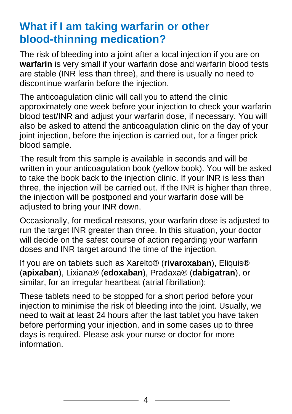## **What if I am taking warfarin or other blood-thinning medication?**

The risk of bleeding into a joint after a local injection if you are on **warfarin** is very small if your warfarin dose and warfarin blood tests are stable (INR less than three), and there is usually no need to discontinue warfarin before the injection.

The anticoagulation clinic will call you to attend the clinic approximately one week before your injection to check your warfarin blood test/INR and adjust your warfarin dose, if necessary. You will also be asked to attend the anticoagulation clinic on the day of your joint injection, before the injection is carried out, for a finger prick blood sample.

The result from this sample is available in seconds and will be written in your anticoagulation book (yellow book). You will be asked to take the book back to the injection clinic. If your INR is less than three, the injection will be carried out. If the INR is higher than three, the injection will be postponed and your warfarin dose will be adjusted to bring your INR down.

Occasionally, for medical reasons, your warfarin dose is adjusted to run the target INR greater than three. In this situation, your doctor will decide on the safest course of action regarding your warfarin doses and INR target around the time of the injection.

If you are on tablets such as Xarelto® (**rivaroxaban**), Eliquis® (**apixaban**), Lixiana® (**edoxaban**), Pradaxa® (**dabigatran**), or similar, for an irregular heartbeat (atrial fibrillation):

These tablets need to be stopped for a short period before your injection to minimise the risk of bleeding into the joint. Usually, we need to wait at least 24 hours after the last tablet you have taken before performing your injection, and in some cases up to three days is required. Please ask your nurse or doctor for more information.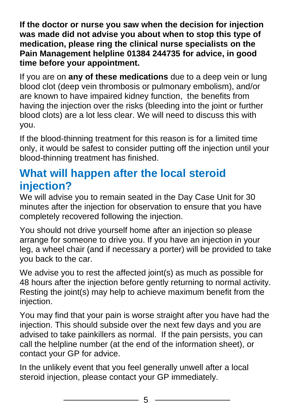**If the doctor or nurse you saw when the decision for injection was made did not advise you about when to stop this type of medication, please ring the clinical nurse specialists on the Pain Management helpline 01384 244735 for advice, in good time before your appointment.**

If you are on **any of these medications** due to a deep vein or lung blood clot (deep vein thrombosis or pulmonary embolism), and/or are known to have impaired kidney function, the benefits from having the injection over the risks (bleeding into the joint or further blood clots) are a lot less clear. We will need to discuss this with you.

If the blood-thinning treatment for this reason is for a limited time only, it would be safest to consider putting off the injection until your blood-thinning treatment has finished.

## **What will happen after the local steroid injection?**

We will advise you to remain seated in the Day Case Unit for 30 minutes after the injection for observation to ensure that you have completely recovered following the injection.

You should not drive yourself home after an injection so please arrange for someone to drive you. If you have an injection in your leg, a wheel chair (and if necessary a porter) will be provided to take you back to the car.

We advise you to rest the affected joint(s) as much as possible for 48 hours after the injection before gently returning to normal activity. Resting the joint(s) may help to achieve maximum benefit from the injection.

You may find that your pain is worse straight after you have had the injection. This should subside over the next few days and you are advised to take painkillers as normal. If the pain persists, you can call the helpline number (at the end of the information sheet), or contact your GP for advice.

In the unlikely event that you feel generally unwell after a local steroid injection, please contact your GP immediately.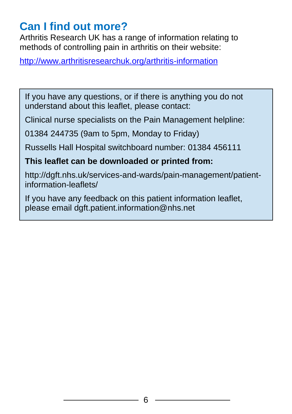## **Can I find out more?**

Arthritis Research UK has a range of information relating to methods of controlling pain in arthritis on their website:

<http://www.arthritisresearchuk.org/arthritis-information>

If you have any questions, or if there is anything you do not understand about this leaflet, please contact:

Clinical nurse specialists on the Pain Management helpline:

01384 244735 (9am to 5pm, Monday to Friday)

Russells Hall Hospital switchboard number: 01384 456111

#### **This leaflet can be downloaded or printed from:**

http://dgft.nhs.uk/services-and-wards/pain-management/patientinformation-leaflets/

If you have any feedback on this patient information leaflet, please email dgft.patient.information@nhs.net